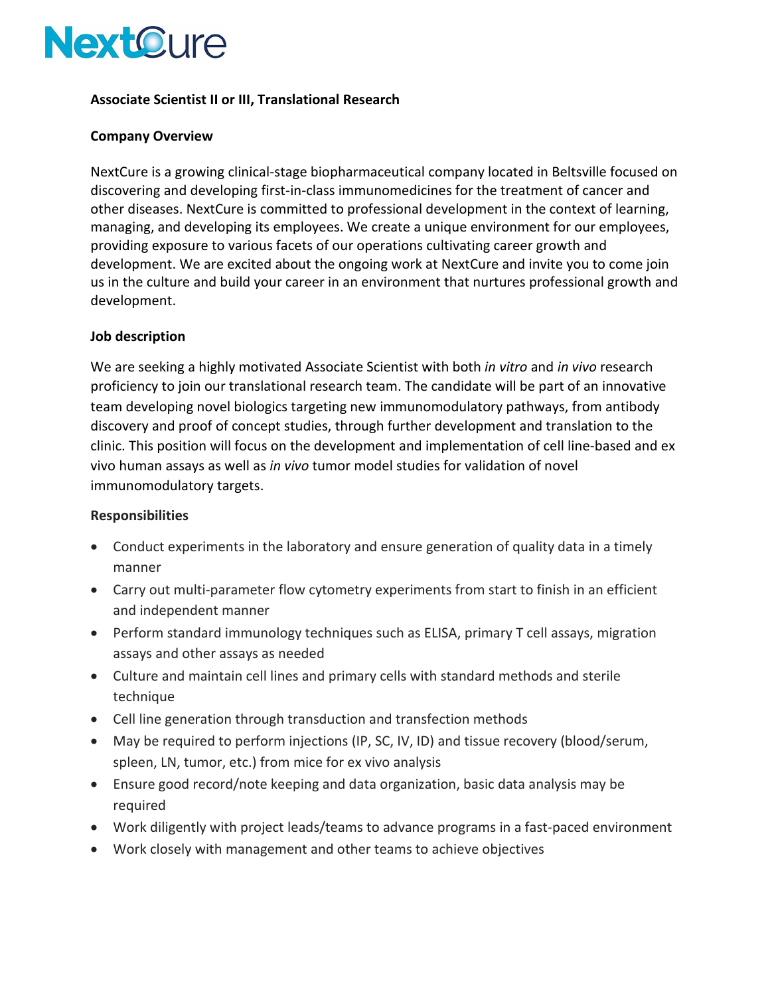

### **Associate Scientist II or III, Translational Research**

#### **Company Overview**

NextCure is a growing clinical-stage biopharmaceutical company located in Beltsville focused on discovering and developing first-in-class immunomedicines for the treatment of cancer and other diseases. NextCure is committed to professional development in the context of learning, managing, and developing its employees. We create a unique environment for our employees, providing exposure to various facets of our operations cultivating career growth and development. We are excited about the ongoing work at NextCure and invite you to come join us in the culture and build your career in an environment that nurtures professional growth and development.

#### **Job description**

We are seeking a highly motivated Associate Scientist with both *in vitro* and *in vivo* research proficiency to join our translational research team. The candidate will be part of an innovative team developing novel biologics targeting new immunomodulatory pathways, from antibody discovery and proof of concept studies, through further development and translation to the clinic. This position will focus on the development and implementation of cell line-based and ex vivo human assays as well as *in vivo* tumor model studies for validation of novel immunomodulatory targets.

#### **Responsibilities**

- Conduct experiments in the laboratory and ensure generation of quality data in a timely manner
- Carry out multi-parameter flow cytometry experiments from start to finish in an efficient and independent manner
- Perform standard immunology techniques such as ELISA, primary T cell assays, migration assays and other assays as needed
- Culture and maintain cell lines and primary cells with standard methods and sterile technique
- Cell line generation through transduction and transfection methods
- May be required to perform injections (IP, SC, IV, ID) and tissue recovery (blood/serum, spleen, LN, tumor, etc.) from mice for ex vivo analysis
- Ensure good record/note keeping and data organization, basic data analysis may be required
- Work diligently with project leads/teams to advance programs in a fast-paced environment
- Work closely with management and other teams to achieve objectives